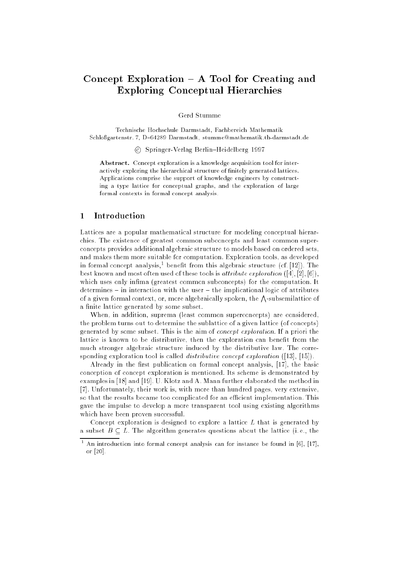# Concept Exploration  $- A$  Tool for Creating and Exploring Conceptual Hierarchies

Gerd Stumme

Technische Hochschule Darmstadt, Fachbereich Mathematik Schloßgartenstr. 7, D-64289 Darmstadt, stumme@mathematik.th-darmstadt.de

<sup>c</sup> Springer-Verlag Berlin{Heidelberg 1997

Abstract. Concept exploration is a knowledge acquisition tool for interactively exploring the hierarchical structure of nitely generated lattices. Applications comprise the support of knowledge engineers by constructing a type lattice for conceptual graphs, and the exploration of large formal contexts in formal concept analysis.

## <sup>1</sup> Introduction

Lattices are a popular mathematical structure for modeling conceptual hierarchies. The existence of greatest common subconcepts and least common superconcepts provides additional algebraic structure to models based on ordered sets, and makes them more suitable for computation. Exploration tools, as developed in formal concept analysis," benefit from this algebraic structure (cf. [12]). The best known and most often used of these tools is *attribute exploration* ([4], [2], [6]), which uses only infima (greatest common subconcepts) for the computation. It  $determines - in interaction with the user - the implicational logic of attributes$ of a given formal context, or, more algebraically spoken, the  $\Lambda$ -subsemilattice of a finite lattice generated by some subset.

When, in addition, suprema (least common superconcepts) are considered, the problem turns out to determine the sublattice of a given lattice (of concepts) generated by some subset. This is the aim of concept exploration. If a priori the lattice is known to be distributive, then the exploration can benefit from the much stronger algebraic structure induced by the distributive law. The corresponding exploration tool is called distributive concept exploration ([13], [15]).

Already in the first publication on formal concept analysis,  $[17]$ , the basic conception of concept exploration is mentioned. Its scheme is demonstrated by examples in [18] and [19]. U. Klotz and A. Mann further elaborated the method in [7]. Unfortunately, their work is, with more than hundred pages, very extensive, so that the results became too complicated for an efficient implementation. This gave the impulse to develop a more transparent tool using existing algorithms which have been proven successful.

Concept exploration is designed to explore a lattice  $L$  that is generated by a subset  $B \subseteq L$ . The algorithm generates questions about the lattice (i.e., the

 $^{\circ}$  An introduction into formal concept analysis can for instance be found in [6], [17], or [20].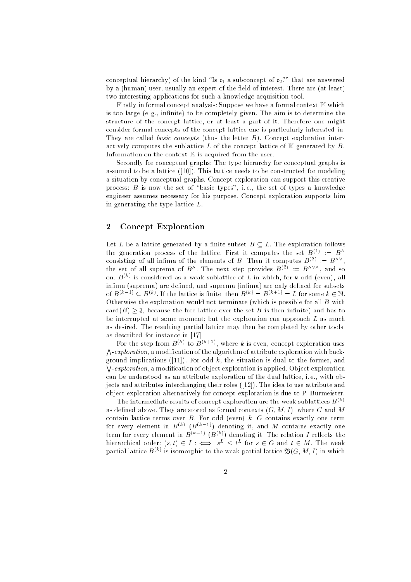conceptual hierarchy) of the kind "Is  $c_1$  a subconcept of  $c_2$ ?" that are answered by a (human) user, usually an expert of the field of interest. There are (at least) two interesting applications for such a knowledge acquisition tool.

Firstly in formal concept analysis: Suppose we have a formal context  $\mathbb K$  which is too large (e.g., infinite) to be completely given. The aim is to determine the structure of the concept lattice, or at least a part of it. Therefore one might consider formal concepts of the concept lattice one is particularly interested in. They are called *basic concepts* (thus the letter  $B$ ). Concept exploration interactively computes the sublattice L of the concept lattice of  $K$  generated by B. Information on the context  $K$  is acquired from the user.

Secondly for conceptual graphs: The type hierarchy for conceptual graphs is assumed to be a lattice ([10]). This lattice needs to be constructed for modeling a situation by conceptual graphs. Concept exploration can support this creative process:  $B$  is now the set of "basic types", i.e., the set of types a knowledge engineer assumes necessary for his purpose. Concept exploration supports him in generating the type lattice L.

#### <sup>2</sup> Concept Exploration

Let L be a lattice generated by a finite subset  $B \subseteq L$ . The exploration follows the generation process of the lattice. First it computes the set  $B^{(1)} := B^{\wedge}$ consisting of all infima of the elements of  $D$ . Then it computes  $D^{\gamma - \gamma} := D^{\gamma - \gamma}$ , the set of all suprema of B  $\overline{B}$ . The next step provides  $B^{\gamma - \gamma} := B^{\gamma - \gamma}$ , and so on.  $D_{\lambda}$  is considered as a weak sublattice of L in which, for k odd (even), all infima (suprema) are defined, and suprema (infima) are only defined for subsets of B(k1) B(k) . If the lattice is nite, then B(k) = B(k+1) = L for some k <sup>2</sup> N. Otherwise the exploration would not terminate (which is possible for all B with  $card(B) > 3$ , because the free lattice over the set B is then infinite) and has to be interrupted at some moment; but the exploration can approach  $L$  as much as desired. The resulting partial lattice may then be completed by other tools, as described for instance in [17].

For the step from  $B_{\lambda,\lambda}(B)$  to  $B_{\lambda,\lambda}(B)$  , where  $\kappa$  is even, concept exploration uses  $\Lambda$ -exploration, a modification of the algorithm of attribute exploration with background implications ([11]). For odd k, the situation is dual to the former, and  $\mathcal{V}\text{-}exploration$ , a modification of object exploration is applied. Object exploration can be understood as an attribute exploration of the dual lattice, i. e., with objects and attributes interchanging their roles ([12]). The idea to use attribute and object exploration alternatively for concept exploration is due to P. Burmeister.

The intermediate results of concept exploration are the weak sublattices  $B^{(k)}$ as defined above. They are stored as formal contexts  $(G, M, I)$ , where G and M contain lattice terms over  $B$ . For odd (even)  $k$ ,  $G$  contains exactly one term for every element in  $B^{(n)}$  ( $B^{(n)}$  )) denoting it, and  $M$  contains exactly one term for every element in  $D^{(k+1)}$  ( $D^{(k)}$ ) denoting it. The relation I reliects the merarchical order:  $(s, t) \in I$  :  $\iff s^- \leq t^-$  for  $s \in G$  and  $t \in M$ . The weak partial lattice  $D_{\lambda}$  is isomorphic to the weak partial lattice  $\mathcal{D}(G, M, I)$  in which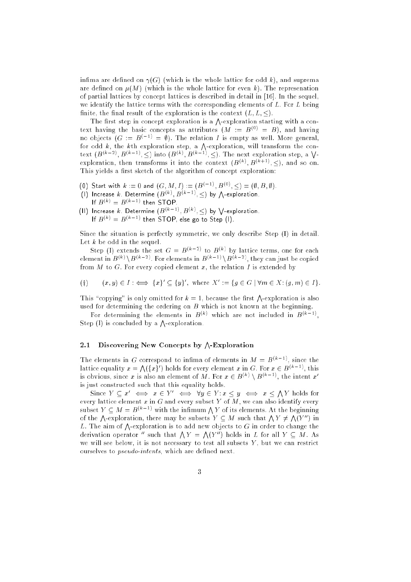infima are defined on  $\gamma(G)$  (which is the whole lattice for odd k), and suprema are defined on  $\mu(M)$  (which is the whole lattice for even k). The represenation of partial lattices by concept lattices is described in detail in [16]. In the sequel, we identify the lattice terms with the corresponding elements of  $L$ . For  $L$  being finite, the final result of the exploration is the context  $(L, L, \leq)$ .

The first step in concept exploration is a  $\Lambda$ -exploration starting with a context having the basic concepts as attributes  $(M := B<sup>(0)</sup> = B)$ , and having no objects  $(G := B^{(-1)} = \emptyset)$ . The relation I is empty as well. More general, for odd k, the k<sup>th</sup> exploration step, a  $\Lambda$ -exploration, will transform the context  $(B^{(k-2)}, B^{(k-1)}, \leq)$  into  $(B^{(k)}, B^{(k-1)}, \leq)$ . The next exploration step, a  $\bigvee$ exploration, then transforms it into the context  $(B^{k+k},B^{k+k+k},\leq),$  and so on. This yields a first sketch of the algorithm of concept exploration:

- (U) Start with  $\kappa := 0$  and  $(G, M, I) := (B^{\vee} \wedge B^{\vee} \wedge S) = (V, B, V).$
- (1) Increase  $k$  Determine  $(B^{(k)},B^{(k-1)},<)$  by  $\bigwedge \textrm{-exploration}$  . If  $B^{(k)} = B^{(k-1)}$  then STOP.
- (II) Increase k. Determine  $(B^{(k-1)}, B^{(k)}, \leq)$  by  $\bigvee$ -exploration. If  $B^{(k)} = B^{(k-1)}$  then STOP, else go to Step (I).

Since the situation is perfectly symmetric, we only describe Step (I) in detail. Let  $k$  be odd in the sequel.

Step (1) extends the set  $G = B^{\vee}$  by to  $B^{\vee}$  by lattice terms, one for each element in  $B^{n+1} \setminus B^{n+1}$  for elements in  $B^{n+1} \setminus B^{n+1}$  , they can just be copied from  $M$  to  $G$ . For every copied element  $x$ , the relation  $I$  is extended by

$$
(\dagger) \qquad (x, y) \in I : \iff \{x\}' \subseteq \{y\}', \text{ where } X' := \{g \in G \mid \forall m \in X : (g, m) \in I\}.
$$

This "copying" is only omitted for  $k = 1$ , because the first  $\Lambda$ -exploration is also used for determining the ordering on  $B$  which is not known at the beginning.

For determining the elements in  $B_{\lambda,k}$  which are not included in  $B_{\lambda,k}$  by Step (I) is concluded by a  $\Lambda$ -exploration.

#### 2.1 Discovering New Concepts by  $\wedge$ -Exploration

The elements in G correspond to infima of elements in  $M = B^{(k-1)}$ , since the lattice equality  $x = \Lambda(\lbrace x \rbrace')$  holds for every element x in G. For  $x \in B^{(k-1)}$ , this is obvious, since  $x$  is also an element of  $M$  , for  $x \in B^{\vee n} \setminus B^{\vee n} \to 0$  the intent  $x$ is just constructed such that this equality holds.

Since  $Y \subseteq x' \iff x \in Y' \iff \forall y \in Y : x \leq y \iff x \leq \bigwedge Y$  holds for every lattice element  $x$  in  $G$  and every subset  $Y$  of  $M$ , we can also identify every subset  $Y \subseteq M = B^{(k-1)}$  with the infimum  $\bigwedge Y$  of its elements. At the beginning of the  $\bigwedge$ -exploration, there may be subsets  $Y \subseteq M$  such that  $\bigwedge Y \neq \bigwedge (Y'')$  in L. The aim of  $\Lambda$ -exploration is to add new objects to G in order to change the derivation operator " such that  $\bigwedge Y = \bigwedge (Y'')$  holds in L for all  $Y \subseteq M$ . As we will see below, it is not necessary to test all subsets  $Y$ , but we can restrict ourselves to *pseudo-intents*, which are defined next.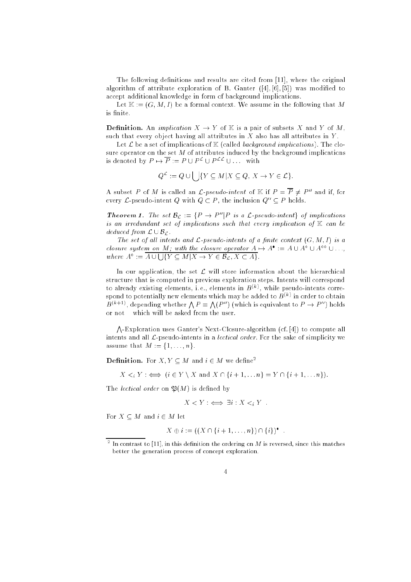The following definitions and results are cited from [11], where the original algorithm of attribute exploration of B. Ganter  $([4],[6],[5])$  was modified to accept additional knowledge in form of background implications.

Let  $\mathbb{K} := (G, M, I)$  be a formal context. We assume in the following that M is finite.

**Definition.** An *implication*  $X \to Y$  of K is a pair of subsets X and Y of M, such that every object having all attributes in  $X$  also has all attributes in  $Y$ .

Let  $\mathcal L$  be a set of implications of  $\mathbb K$  (called background implications). The closure operator on the set  $M$  of attributes induced by the background implications is denoted by  $P \mapsto P := P \cup P^{\sim} \cup P^{\sim} \cup \ldots$  with

$$
Q^{\mathcal{L}} := Q \cup \bigcup \{ Y \subseteq M \mid X \subseteq Q, \ X \to Y \in \mathcal{L} \}.
$$

A subset P of M is called an  $\mathcal{L}$ -pseudo-intent of K if  $P = \overline{P} \neq P''$  and if, for every  $\mathcal{L}$ -pseudo-intent Q with  $Q \subset P$ , the inclusion  $Q'' \subseteq P$  holds.

**Theorem 1.** The set  $\mathcal{B}_{\mathcal{L}} := \{P \to P''|P \text{ is a } \mathcal{L}\text{-}pseudo-intent\}$  of implications is an irredundant set of implications such that every implication of <sup>K</sup> can be deduced from L  $\sim$  L  $\sim$ 

The set of al l intents and L-pseudo-intents of a nite context (G; M; I) is a closure system on M; with the closure operator  $A \mapsto A^* \equiv A \cup A^* \cup A^* \cup \ldots$ , where  $A^{\circ} := A \cup \bigcup \{ Y \subseteq M | X \to Y \in \mathcal{B}_{\mathcal{L}}, X \subset A \}.$ 

In our application, the set  $\mathcal L$  will store information about the hierarchical structure that is computed in previous exploration steps. Intents will correspond to already existing elements, i.e., elements in  $B_{\lambda,k}$  while pseudo-intents correspond to potentially new elements which may be added to  $D^{(k)}$  in order to obtain  $B^{(k+1)}$ , depending whether  $\bigwedge P = \bigwedge (P'')$  (which is equivalent to  $P \to P''$ ) holds or not - which will be asked from the user.

<sup>V</sup> -Exploration uses Ganter's Next-Closure-algorithm (cf. [4]) to compute all intents and all  $\mathcal{L}$ -pseudo-intents in a *lectical order*. For the sake of simplicity we assume that  $M := \{1, \ldots, n\}.$ 

**Definition.** For  $X, Y \subseteq M$  and  $i \in M$  we define<sup>2</sup>

$$
X \leq_i Y \iff (i \in Y \setminus X \text{ and } X \cap \{i+1, \dots n\} = Y \cap \{i+1, \dots n\}).
$$

The lectical order on  $\mathfrak{P}(M)$  is defined by

$$
X < Y : \iff \exists i : X <_i Y \ .
$$

For  $X \subseteq M$  and  $i \in M$  let

$$
X \oplus i := ((X \cap \{i+1,\ldots,n\}) \cap \{i\})^{\bullet}
$$

 $^\circ$  in contrast to [11], in this definition the ordering on  $M$  is reversed, since this matches better the generation process of concept exploration.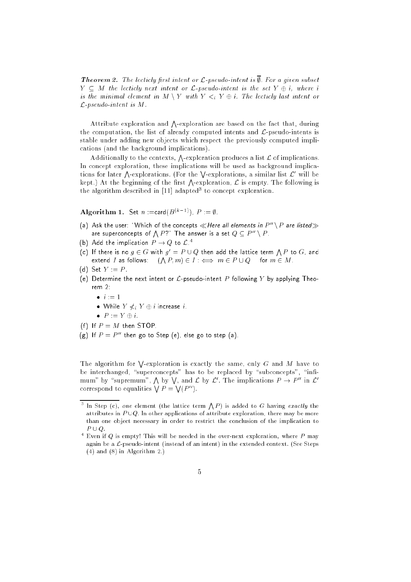**Theorem 2.** The lecticly first intent or  $\mathcal{L}$ -pseudo-intent is  $\overline{\emptyset}$ . For a given subset  $Y \subseteq M$  the lecticly next intent or  $\mathcal L$ -pseudo-intent is the set  $Y \oplus i$ , where i is the minimal element in <sup>M</sup> <sup>n</sup> <sup>Y</sup> with <sup>Y</sup> <i <sup>Y</sup> i. The lecticly last intent or  $\mathcal{L}\text{-}pseudo\text{-}intent$  is  $M$ .

Attribute exploration and  $\Lambda$ -exploration are based on the fact that, during the computation, the list of already computed intents and  $\mathcal{L}$ -pseudo-intents is stable under adding new objects which respect the previously computed implications (and the background implications).

Additionally to the contexts,  $\Lambda$ -exploration produces a list  $\mathcal L$  of implications. In concept exploration, these implications will be used as background implications for later  $\Lambda$ -explorations. (For the V-explorations, a similar list  $\mathcal{L}'$  will be kept.) At the beginning of the first  $\Lambda$ -exploration,  $\mathcal L$  is empty. The following is the algorithm described in [11] adapted" to concept exploration.

Algorithm 1. Set  $n := \text{card}(B^{(k-1)})$ ,  $P := \emptyset$ .

- (a) Ask the user: "Which of the concepts  $\ll$  Here all elements in  $P''\setminus P$  are listed $\gg$ are superconcepts of  $\Lambda$   $P$ ?" The answer is a set  $Q\subseteq P''\setminus P$  .
- (b) Add the implication  $P \to Q$  to  $L$  .
- (c) If there is no  $g \in G$  with  $g' = P \cup Q$  then add the lattice term  $\bigwedge P$  to  $G_i$  and extend I as follows:  $(\bigwedge P,m) \in I : \iff m \in P \cup Q \quad \text{ for } m \in M$  .
- (d) Set  $Y = P$ .
- (e) Determine the next intent or  $\mathcal{L}$ -pseudo-intent P following Y by applying Theorem 2:
	- $\bullet i := 1$
	- While  $Y \nleq_i Y \oplus i$  increase  $i$ .
	- $\bullet$   $P := Y \oplus i$ .
- (f) If  $P = M$  then STOP.
- (g) If  $P = P''$  then go to Step (e), else go to step (a).

The algorithm for  $\bigvee$ -exploration is exactly the same, only G and M have to be interchanged, "superconcepts" has to be replaced by "subconcepts", "infimum" by "supremum",  $\bigwedge$  by  $\bigvee$ , and  $\mathcal L$  by  $\mathcal L'$ . The implications  $P \to P''$  in  $\mathcal L'$ correspond to equalities  $\bigvee P = \bigvee (P'')$ .

<sup>3</sup> In Step (c), one element (the lattice term  $\Lambda P$ ) is added to G having exactly the attributes in  $P \cup Q$ . In other applications of attribute exploration, there may be more than one object necessary in order to restrict the conclusion of the implication to  $P \cup Q$ .

 $^\circ$  Even if  $Q$  is empty! This will be needed in the over-next exploration, where  $P$  may again be a  $\mathcal{L}$ -pseudo-intent (instead of an intent) in the extended context. (See Steps (4) and (8) in Algorithm 2.)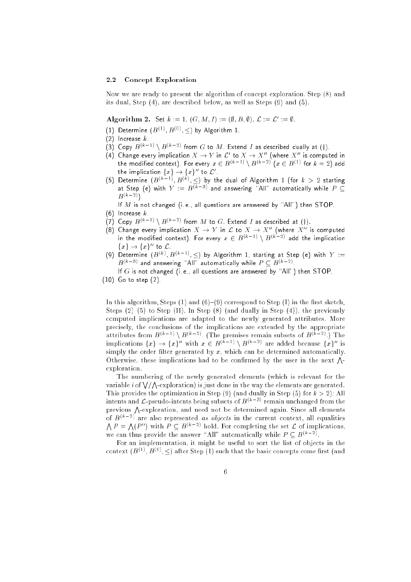#### 2.2 Concept Exploration

Now we are ready to present the algorithm of concept exploration. Step (8) and its dual, Step (4), are described below, as well as Steps (9) and (5).

Algorithm 2. Set  $\kappa := 1$ ,  $(G, M, I) := (\psi, D, \psi)$ ,  $\mathcal{L} := \mathcal{L} := \psi$ .

- (1) Determine  $(D^{(1)}, D^{(2)}, \leq)$  by Algorithm 1.
- (2) Increase  $k$ .
- (3) Copy  $B^{(k-1)} \setminus B^{(k-2)}$  from G to M. Extend I as described dually at (†).
- 14) Change every implication  $\Lambda \to Y$  in  $L$  to  $\Lambda \to \Lambda^-$  (where  $\Lambda^-$  is computed in the modified context). For every  $x \in B^{\frac{m}{2}+1} \setminus B^{\frac{m}{2}+1}$  (  $x \in B^{\frac{m}{2}+1}$  for  $\kappa \equiv 21$  add the implication  $\{x\} \rightarrow \{x\}$  to  $L^{\circ}$ .
- (5) Determine  $(B^{(n-1)}, B^{(n)}, \leq)$  by the dual of Algorithm 1 (for  $\kappa > 2$  starting at Step (e) with  $Y \coloneqq B^{\vee n-2}$  and answering . All automatically while  $P \subseteq$  $B^{(k-2)}$

If M is not changed (i.e., all questions are answered by "All") then STOP. (6) Increase  $k$ .

- $(7)$  Copy  $B^{(k-1)} \setminus B^{(k-2)}$  from M to G. Extend I as described at (†).
- (8) Change every implication  $X \to Y$  in  $\mathcal L$  to  $X \to X''$  (where  $X''$  is computed in the modified context). For every  $x \in B^{(k-1)} \setminus B^{(k-2)}$  add the implication  $f:x \rightarrow f:x \longmapsto$  LO  $L$  .
- (9) Determine  $(D^{\vee\vee}, D^{\vee\vee} \to \infty)$  by Algorithm 1, starting at Step (e) with  $Y$  :=  $D^{(n-2)}$  and answering  $\|A\|$  automatically while  $P \subseteq D^{(n-2)}$ .

If G is not changed (i.e., all questions are answered by "All") then STOP.

In this algorithm, Steps (1) and  $(6)-(9)$  correspond to Step (I) in the first sketch, Steps  $(2)-(5)$  to Step (II). In Step  $(8)$  (and dually in Step  $(4)$ ), the previously computed implications are adapted to the newly generated attributes. More precisely, the conclusions of the implications are extended by the appropriate attributes from  $B^{(k-1)} \setminus B^{(k-2)}$ . (The premises remain subsets of  $B^{(k-2)}$ .) The implications  $\{x\} \to \{x\}^n$  with  $x \in B^{(k-1)} \setminus B^{(k-2)}$  are added because  $\{x\}^n$  is simply the order filter generated by  $x$ , which can be determined automatically. Otherwise, these implications had to be confirmed by the user in the next  $\Lambda$ exploration.

The numbering of the newly generated elements (which is relevant for the variable i of  $\sqrt{\Lambda}$ -exploration) is just done in the way the elements are generated. This provides the optimization in Step (9) (and dually in Step (5) for  $k > 2$ ): All intents and L-pseudo-intents being subsets of  $B^{(k-3)}$  remain unchanged from the previous  $\Lambda$ -exploration, and need not be determined again. Since all elements of  $B^{(k-2)}$  are also represented as objects in the current context, all equalities  $\bigwedge P = \bigwedge (P'')$  with  $P \subseteq B^{(k-2)}$  hold. For completing the set  $\mathcal L$  of implications, we can thus provide the answer All automatically while  $P \subseteq D^{\vee} \cong \emptyset$ .

For an implementation, it might be useful to sort the list of objects in the context  $(D^{(1)}, D^{(2)}, \leq)$  after Step (1) such that the basic concepts come first (and

<sup>(10)</sup> Go to step (2).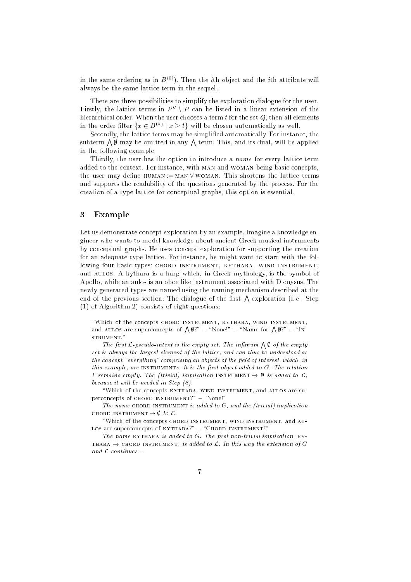in the same ordering as in  $B^{(0)}$ ). Then the *i*th object and the *i*th attribute will always be the same lattice term in the sequel.

There are three possibilities to simplify the exploration dialogue for the user. Firstly, the lattice terms in  $P'' \setminus P$  can be listed in a linear extension of the hierarchical order. When the user chooses a term  $t$  for the set  $Q$ , then all elements In the order filter  $\{x \in B^{\vee n} \mid x \geq t\}$  will be chosen automatically as well.

Secondly, the lattice terms may be simplied automatically. For instance, the subterm  $\bigwedge \emptyset$  may be omitted in any  $\bigwedge$ -term. This, and its dual, will be applied in the following example.

Thirdly, the user has the option to introduce a *name* for every lattice term added to the context. For instance, with man and woman being basic concepts, the user may define  $H$ UMAN := MAN  $\vee$  WOMAN. This shortens the lattice terms and supports the readability of the questions generated by the process. For the creation of a type lattice for conceptual graphs, this option is essential.

## <sup>3</sup> Example

Let us demonstrate concept exploration by an example. Imagine a knowledge engineer who wants to model knowledge about ancient Greek musical instruments by conceptual graphs. He uses concept exploration for supporting the creation for an adequate type lattice. For instance, he might want to start with the following four basic types: CHORD INSTRUMENT, KYTHARA, WIND INSTRUMENT, and AULOS. A kythara is a harp which, in Greek mythology, is the symbol of Apollo, while an aulos is an oboe like instrument associated with Dionysus. The newly generated types are named using the naming mechanism described at the end of the previous section. The dialogue of the first  $\Lambda$ -exploration (i.e., Step (1) of Algorithm 2) consists of eight questions:

"Which of the concepts CHORD INSTRUMENT, KYTHARA, WIND INSTRUMENT, and AULOS are superconcepts of  $\bigwedge \emptyset$ ?" – "None!" – "Name for  $\bigwedge \emptyset$ ?" – "In-STRUMENT.'

The first L-pseudo-intent is the empty set. The infimum  $\bigwedge \emptyset$  of the empty set is always the largest element of the lattice, and can thus be understood as the concept "everything" comprising all objects of the field of interest, which, in this example, are INSTRUMENTs. It is the first object added to  $G$ . The relation I remains empty. The (trivial) implication INSTRUMENT  $\rightarrow \emptyset$  is added to  $\mathcal{L}$ , because it will be needed in Step  $(8)$ .

"Which of the concepts KYTHARA, WIND INSTRUMENT, and AULOS are superconcepts of CHORD INSTRUMENT?"  $-$  "None!"

The name CHORD INSTRUMENT is added to  $G$ , and the (trivial) implication CHORD INSTRUMENT  $\rightarrow \emptyset$  to  $\mathcal{L}$ .

"Which of the concepts CHORD INSTRUMENT, WIND INSTRUMENT, and AU-LOS are superconcepts of  $KYTHARA?$ " - "CHORD INSTRUMENT!"

The name KYTHARA is added to  $G$ . The first non-trivial implication, KY-THARA  $\rightarrow$  CHORD INSTRUMENT, is added to L. In this way the extension of G and  $\mathcal L$  continues ...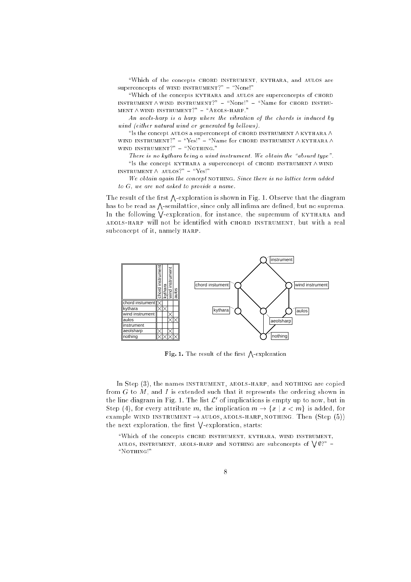"Which of the concepts CHORD INSTRUMENT, KYTHARA, and AULOS are superconcepts of WIND INSTRUMENT?"  $-$  "None!"

"Which of the concepts KYTHARA and AULOS are superconcepts of CHORD INSTRUMENT  $\wedge$  WIND INSTRUMENT?"  $-$  "None!"  $-$  "Name for chord instru- $MENT \wedge WIND$  INSTRUMENT?" - "AEOLS-HARP."

An aeols-harp is a harp where the vibration of the chords is induced by wind (either natural wind or generated by bellows).

"Is the concept aulos a superconcept of <code>CHORD</code> INSTRUMENT  $\land$  KYTHARA  $\land$ WIND INSTRUMENT?"  $-$  "Yes!"  $-$  "Name for chord instrument  $\wedge$  kythara  $\wedge$ WIND INSTRUMENT?"  $-$  "Nothing."

There is no kythara being a wind instrument. We obtain the "absurd type". "Is the concept KYTHARA a superconcept of CHORD INSTRUMENT  $\land$  WIND INSTRUMENT  $\wedge$  AULOS?" = "Yes!"

We obtain again the concept NOTHING. Since there is no lattice term added to G, we are not asked to provide a name.

The result of the first  $\Lambda$ -exploration is shown in Fig. 1. Observe that the diagram has to be read as  $\Lambda$ -semilattice, since only all infima are defined, but no suprema. In the following  $\sqrt{\ }$ -exploration, for instance, the supremum of KYTHARA and aeols-harp will not be identied with chord instrument, but with a real subconcept of it, namely HARP.



Fig. 1. The result of the first  $\bigwedge$  exploration

In Step (3), the names INSTRUMENT, AEOLS-HARP, and NOTHING are copied from  $G$  to  $M$ , and  $I$  is extended such that it represents the ordering shown in the line diagram in Fig. 1. The fist  $\mathcal L$  of implications is empty up to now, but in Step (4), for every attribute m, the implication  $m \to \{x \mid x < m\}$  is added, for example WIND INSTRUMENT  $\rightarrow$  AULOS, AEOLS-HARP, NOTHING. Then (Step (5)) the next exploration, the first  $\sqrt{\ }$ -exploration, starts:

"Which of the concepts CHORD INSTRUMENT, KYTHARA, WIND INSTRUMENT, AULOS, INSTRUMENT, AEOLS-HARP and NOTHING are subconcepts of  $\sqrt{\theta}$ ?" – "NOTHING!"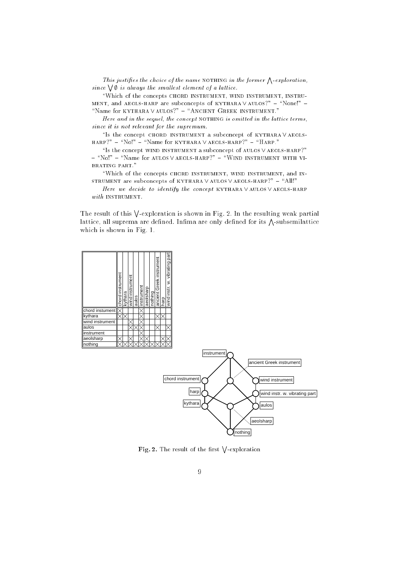This justifies the choice of the name NOTHING in the former  $\bigwedge$  exploration, since  $\setminus/\emptyset$  is always the smallest element of a lattice.

"Which of the concepts chord instrument, wind instrument, instru-MENT, and AEOLS-HARP are subconcepts of KYTHARA  $\vee$  AULOS?" = "None!" = "Name for KYTHARA  $\vee$  aulos?" - "Ancient Greek instrument."

Here and in the sequel, the concept NOTHING is omitted in the lattice terms, since it is not relevant for the supremum.

"Is the concept CHORD INSTRUMENT a subconcept of KYTHARA  $\vee$  AEOLS- $HARP?" = "No!" - "Name for KYTHARA V AEOLS-HARP?" - "HARP."$ 

"Is the concept WIND INSTRUMENT a subconcept of AULOS  $\vee$  AEOLS-HARP?"  ${\sim}$  "No!"  ${\sim}$  "Name for aulos  ${\vee}$  aeols-harp?"  ${\sim}$  "Wind instrument with vi-BRATING PART."

"Which of the concepts CHORD INSTRUMENT, WIND INSTRUMENT, and IN-STRUMENT are subconcepts of KYTHARA  $\vee$  AULOS  $\vee$  AEOLS-HARP?" - "All!"

Here we decide to identify the concept KYTHARA  $\vee$  AULOS  $\vee$  AEOLS-HARP  $with$  instrument.

The result of this  $\sqrt{\frac{1}{2}}$ -exploration is shown in Fig. 2. In the resulting weak partial lattice, all suprema are defined. Infima are only defined for its  $\bigwedge \hbox{\small -subsemilattice}$ which is shown in Fig. 1.





Fig. 2. The result of the first  $\bigvee$ -exploration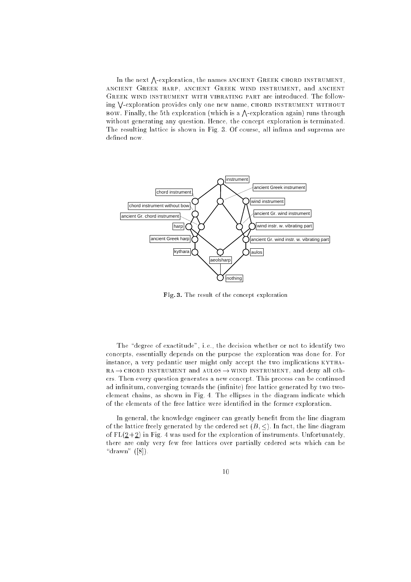In the next  $\bigwedge\text{-exploration}$ , the names ANCIENT  $\bigcirc$ REEK CHORD INSTRUMENT, ancient Greek ancient Greek wind instrument Greek and anti-anti-and and anomicient wind in and an ing \/-exploration provides only one new name, CHORD INSTRUMENT WITHOUT Bow. Finally, the 5th exploration (which is a  $\Lambda$ -exploration again) runs through without generating any question. Hence, the concept exploration is terminated. The resulting lattice is shown in Fig. 3. Of course, all infima and suprema are defined now.



Fig. 3. The result of the concept exploration

The "degree of exactitude", i.e., the decision whether or not to identify two concepts, essentially depends on the purpose the exploration was done for. For instance, a very pedantic user might only accept the two implications kytha- $RA \rightarrow CHORD$  INSTRUMENT and AULOS  $\rightarrow$  WIND INSTRUMENT, and deny all others. Then every question generates a new concept. This process can be continued ad infinitum, converging towards the (infinite) free lattice generated by two twoelement chains, as shown in Fig. 4. The ellipses in the diagram indicate which of the elements of the free lattice were identified in the former exploration.

In general, the knowledge engineer can greatly benefit from the line diagram of the lattice freely generated by the ordered set  $(B, \le)$ . In fact, the line diagram of  $FL(\underline{2}+\underline{2})$  in Fig. 4 was used for the exploration of instruments. Unfortunately, there are only very few free lattices over partially ordered sets which can be " $d$ rawn" ([8]).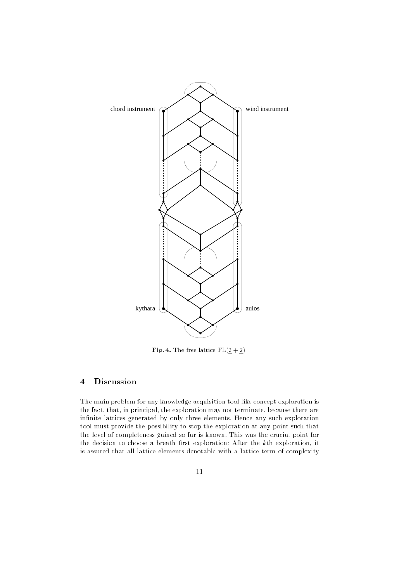

Fig. 4. The free lattice  $FL(\underline{2} + \underline{2})$ .

## <sup>4</sup> Discussion

The main problem for any knowledge acquisition tool like concept exploration is the fact, that, in principal, the exploration may not terminate, because there are infinite lattices generated by only three elements. Hence any such exploration tool must provide the possibility to stop the exploration at any point such that the level of completeness gained so far is known. This was the crucial point for the decision to choose a breath first exploration: After the  $k$ th exploration, it is assured that all lattice elements denotable with a lattice term of complexity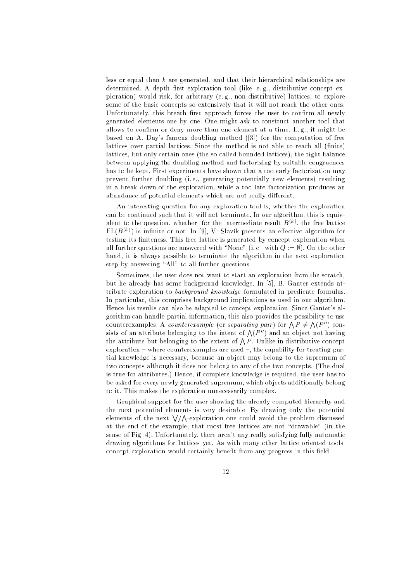less or equal than  $k$  are generated, and that their hierarchical relationships are determined. A depth first exploration tool (like, e.g., distributive concept exploration) would risk, for arbitrary (e. g., non distributive) lattices, to explore some of the basic concepts so extensively that it will not reach the other ones. Unfortunately, this breath first approach forces the user to confirm all newly generated elements one by one. One might ask to construct another tool that allows to confirm or deny more than one element at a time. E.g., it might be based on A. Day's famous doubling method ([3]) for the computation of free lattices over partial lattices. Since the method is not able to reach all (finite) lattices, but only certain ones (the so-called bounded lattices), the right balance between applying the doubling method and factorizing by suitable congruences has to be kept. First experiments have shown that a too early factorization may prevent further doubling (i. e., generating potentially new elements) resulting in a break down of the exploration, while a too late factorization produces an abundance of potential elements which are not really different.

An interesting question for any exploration tool is, whether the exploration can be continued such that it will not terminate. In our algorithm, this is equivalent to the question, whether, for the intermediate result  $B_{\lambda,\lambda}$  , the free lattice  $\Gamma\,\mathrm{L}\,(\bar{D}^{\,\mathrm{cc}})$  is infinite or not. In [9], **v**. Slavik presents an effective algorithm for testing its finiteness. This free lattice is generated by concept exploration when all further questions are answered with "None" (i.e., with  $Q := \emptyset$ ). On the other hand, it is always possible to terminate the algorithm in the next exploration step by answering "All" to all further questions.

Sometimes, the user does not want to start an exploration from the scratch, but he already has some background knowledge. In [5], B. Ganter extends attribute exploration to *background knowledge* formulated in predicate formulas. In particular, this comprises background implications as used in our algorithm. Hence his results can also be adapted to concept exploration. Since Ganter's algorithm can handle partial information, this also provides the possibility to use counterexamples. A *counterexample* (or *separating pair*) for  $\Lambda P \neq \Lambda (P'')$  consists of an attribute belonging to the intent of  $\Lambda(P'')$  and an object not having the attribute but belonging to the extent of  $\Lambda P$ . Unlike in distributive concept exploration  $-$  where counterexamples are used  $-$ , the capability for treating partial knowledge is necessary, because an object may belong to the supremum of two concepts although it does not belong to any of the two concepts. (The dual is true for attributes.) Hence, if complete knowledge is required, the user has to be asked for every newly generated supremum, which objects additionally belong to it. This makes the exploration unnecessarily complex.

Graphical support for the user showing the already computed hierarchy and the next potential elements is very desirable. By drawing only the potential elements of the next  $\sqrt{}/\Lambda$ -exploration one could avoid the problem discussed at the end of the example, that most free lattices are not "drawable" (in the sense of Fig. 4). Unfortunately, there aren't any really satisfying fully automatic drawing algorithms for lattices yet. As with many other lattice oriented tools, concept exploration would certainly benefit from any progress in this field.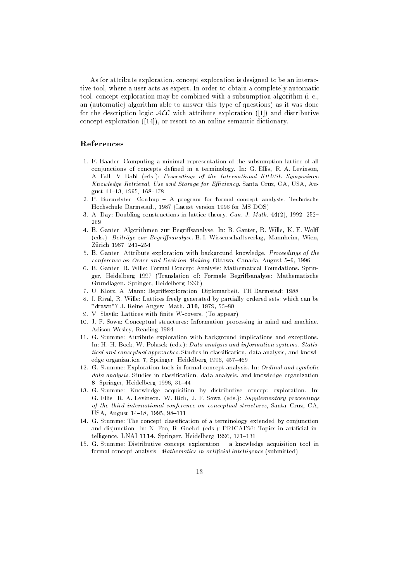As for attribute exploration, concept exploration is designed to be an interactive tool, where a user acts as expert. In order to obtain a completely automatic tool, concept exploration may be combined with a subsumption algorithm (i. e., an (automatic) algorithm able to answer this type of questions) as it was done for the description logic  $\mathcal{ALC}$  with attribute exploration ([1]) and distributive concept exploration ([14]), or resort to an online semantic dictionary.

### References

- 1. F. Baader: Computing a minimal representation of the subsumption lattice of all conjunctions of concepts defined in a terminology. In: G. Ellis, R. A. Levinson, A. Fall, V. Dahl (eds.): Proceedings of the International KRUSE Symposium: Knowledge Retrieval, Use and Storage for Efficiency. Santa Cruz, CA, USA, August 11-13, 1995, 168-178
- 2. P. Burmeister:  $ConImp A program$  for formal concept analysis. Technische Hochschule Darmstadt, 1987 (Latest version 1996 for MS DOS)
- 3. A. Day: Doubling constructions in lattice theory. Can. J. Math.  $44(2)$ , 1992, 252- $269$
- 4. B. Ganter: Algorithmen zur Begriffsanalyse. In: B. Ganter, R. Wille, K. E. Wolff (eds.): Beiträge zur Begriffsanalyse. B. I.-Wissenschaftsverlag, Mannheim, Wien, Zürich 1987, 241-254
- 5. B. Ganter: Attribute exploration with background knowledge. Proceedings of the conference on Order and Decision-Making. Ottawa, Canada, August 5-9, 1996
- 6. B. Ganter, R. Wille: Formal Concept Analysis: Mathematical Foundations. Springer, Heidelberg 1997 (Translation of: Formale Begriffsanalyse: Mathematische Grundlagen. Springer, Heidelberg 1996)
- 7. U. Klotz, A. Mann: Begriffexploration. Diplomarbeit, TH Darmstadt 1988
- 8. I. Rival, R. Wille: Lattices freely generated by partially ordered sets: which can be "drawn"? J. Reine Angew. Math. 310, 1979, 55-80
- 9. V. Slavík: Lattices with finite W-covers. (To appear)
- 10. J. F. Sowa: Conceptual structures: Information processing in mind and machine. Adison-Wesley, Reading 1984
- 11. G. Stumme: Attribute exploration with background implications and exceptions. In: H.-H. Bock, W. Polasek (eds.): Data analysis and information systems. Statistical and conceptual approaches. Studies in classification, data analysis, and knowledge organization 7, Springer, Heidelberg 1996, 457-469
- 12. G. Stumme: Exploration tools in formal concept analysis. In: Ordinal and symbolic data analysis. Studies in classication, data analysis, and knowledge organization 8, Springer, Heidelberg 1996,  $31-44$
- 13. G. Stumme: Knowledge acquisition by distributive concept exploration. In: G. Ellis, R. A. Levinson, W. Rich, J. F. Sowa (eds.): Supplementary proceedings of the third international conference on conceptual structures, Santa Cruz, CA, USA, August 14-18, 1995, 98-111
- 14. G. Stumme: The concept classication of a terminology extended by conjunction and disjunction. In: N. Foo, R. Goebel (eds.): PRICAI'96: Topics in artificial intelligence. LNAI 1114, Springer, Heidelberg 1996, 121-131
- 15. G. Stumme: Distributive concept exploration  $-$  a knowledge acquisition tool in formal concept analysis. Mathematics in artificial intelligence (submitted)